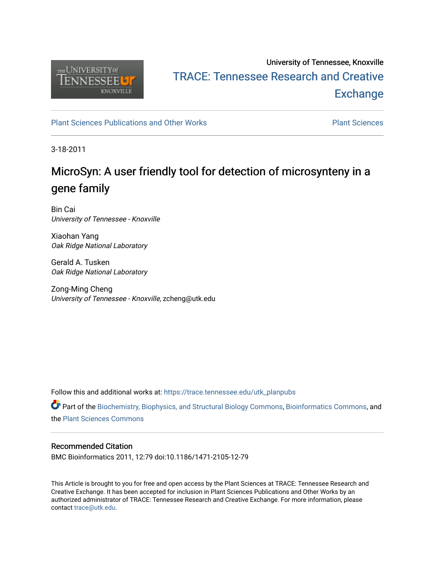

# University of Tennessee, Knoxville TRACE: T[ennessee Research and Cr](https://trace.tennessee.edu/)eative **Exchange**

[Plant Sciences Publications and Other Works](https://trace.tennessee.edu/utk_planpubs) [Plant Sciences](https://trace.tennessee.edu/utk-plan) 

3-18-2011

# MicroSyn: A user friendly tool for detection of microsynteny in a gene family

Bin Cai University of Tennessee - Knoxville

Xiaohan Yang Oak Ridge National Laboratory

Gerald A. Tusken Oak Ridge National Laboratory

Zong-Ming Cheng University of Tennessee - Knoxville, zcheng@utk.edu

Follow this and additional works at: [https://trace.tennessee.edu/utk\\_planpubs](https://trace.tennessee.edu/utk_planpubs?utm_source=trace.tennessee.edu%2Futk_planpubs%2F53&utm_medium=PDF&utm_campaign=PDFCoverPages) 

Part of the [Biochemistry, Biophysics, and Structural Biology Commons](https://network.bepress.com/hgg/discipline/1?utm_source=trace.tennessee.edu%2Futk_planpubs%2F53&utm_medium=PDF&utm_campaign=PDFCoverPages), [Bioinformatics Commons](https://network.bepress.com/hgg/discipline/110?utm_source=trace.tennessee.edu%2Futk_planpubs%2F53&utm_medium=PDF&utm_campaign=PDFCoverPages), and the [Plant Sciences Commons](https://network.bepress.com/hgg/discipline/102?utm_source=trace.tennessee.edu%2Futk_planpubs%2F53&utm_medium=PDF&utm_campaign=PDFCoverPages) 

# Recommended Citation

BMC Bioinformatics 2011, 12:79 doi:10.1186/1471-2105-12-79

This Article is brought to you for free and open access by the Plant Sciences at TRACE: Tennessee Research and Creative Exchange. It has been accepted for inclusion in Plant Sciences Publications and Other Works by an authorized administrator of TRACE: Tennessee Research and Creative Exchange. For more information, please contact [trace@utk.edu](mailto:trace@utk.edu).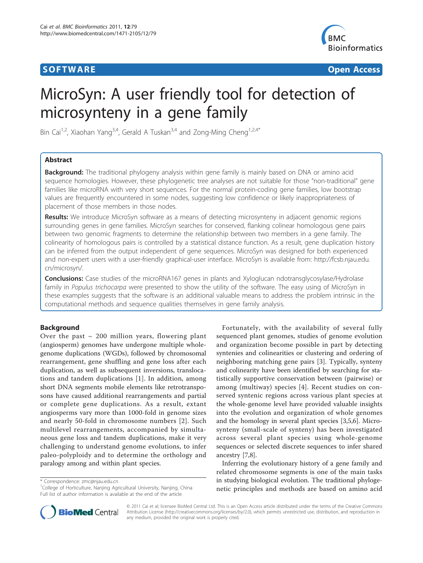# **SOFTWARE SOFTWARE** *CONSERVERSE EXECUTIVE EXECUTIVE EXECUTIVE EXECUTIVE EXECUTIVE EXECUTIVE EXECUTIVE EXECUTIVE EXECUTIVE EXECUTIVE EXECUTIVE EXECUTIVE EXECUTIVE EXECUTIVE EXECUTIVE EXECUTIVE EXECUTIVE EXECUTIVE EXECUT*



# MicroSyn: A user friendly tool for detection of microsynteny in a gene family

Bin Cai<sup>1,2</sup>, Xiaohan Yang<sup>3,4</sup>, Gerald A Tuskan<sup>3,4</sup> and Zong-Ming Cheng<sup>1,2,4\*</sup>

# Abstract

**Background:** The traditional phylogeny analysis within gene family is mainly based on DNA or amino acid sequence homologies. However, these phylogenetic tree analyses are not suitable for those "non-traditional" gene families like microRNA with very short sequences. For the normal protein-coding gene families, low bootstrap values are frequently encountered in some nodes, suggesting low confidence or likely inappropriateness of placement of those members in those nodes.

Results: We introduce MicroSyn software as a means of detecting microsynteny in adjacent genomic regions surrounding genes in gene families. MicroSyn searches for conserved, flanking colinear homologous gene pairs between two genomic fragments to determine the relationship between two members in a gene family. The colinearity of homologous pairs is controlled by a statistical distance function. As a result, gene duplication history can be inferred from the output independent of gene sequences. MicroSyn was designed for both experienced and non-expert users with a user-friendly graphical-user interface. MicroSyn is available from: [http://fcsb.njau.edu.](http://fcsb.njau.edu.cn/microsyn/) [cn/microsyn/.](http://fcsb.njau.edu.cn/microsyn/)

**Conclusions:** Case studies of the microRNA167 genes in plants and Xyloglucan ndotransglycosylase/Hydrolase family in Populus trichocarpa were presented to show the utility of the software. The easy using of MicroSyn in these examples suggests that the software is an additional valuable means to address the problem intrinsic in the computational methods and sequence qualities themselves in gene family analysis.

## Background

Over the past  $\sim$  200 million years, flowering plant (angiosperm) genomes have undergone multiple wholegenome duplications (WGDs), followed by chromosomal rearrangement, gene shuffling and gene loss after each duplication, as well as subsequent inversions, translocations and tandem duplications [\[1](#page-12-0)]. In addition, among short DNA segments mobile elements like retrotransposons have caused additional rearrangements and partial or complete gene duplications. As a result, extant angiosperms vary more than 1000-fold in genome sizes and nearly 50-fold in chromosome numbers [\[2\]](#page-12-0). Such multilevel rearrangements, accompanied by simultaneous gene loss and tandem duplications, make it very challenging to understand genome evolutions, to infer paleo-polyploidy and to determine the orthology and paralogy among and within plant species.

\* Correspondence: [zmc@njau.edu.cn](mailto:zmc@njau.edu.cn)

<sup>1</sup>College of Horticulture, Nanjing Agricultural University, Nanjing, China Full list of author information is available at the end of the article



Inferring the evolutionary history of a gene family and related chromosome segments is one of the main tasks in studying biological evolution. The traditional phylogenetic principles and methods are based on amino acid



© 2011 Cai et al; licensee BioMed Central Ltd. This is an Open Access article distributed under the terms of the Creative Commons Attribution License [\(http://creativecommons.org/licenses/by/2.0](http://creativecommons.org/licenses/by/2.0)), which permits unrestricted use, distribution, and reproduction in any medium, provided the original work is properly cited.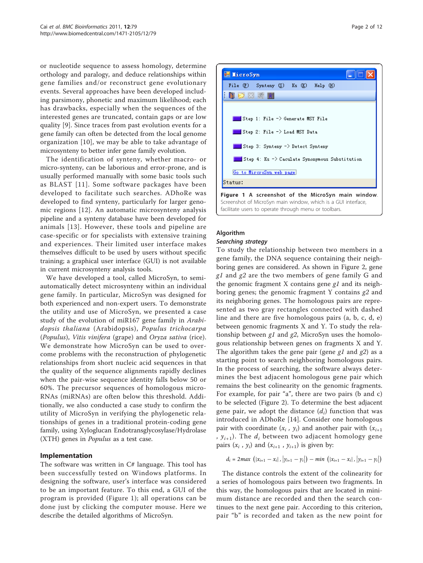or nucleotide sequence to assess homology, determine orthology and paralogy, and deduce relationships within gene families and/or reconstruct gene evolutionary events. Several approaches have been developed including parsimony, phonetic and maximum likelihood; each has drawbacks, especially when the sequences of the interested genes are truncated, contain gaps or are low quality [\[9](#page-12-0)]. Since traces from past evolution events for a gene family can often be detected from the local genome organization [[10\]](#page-12-0), we may be able to take advantage of microsynteny to better infer gene family evolution.

The identification of synteny, whether macro- or micro-synteny, can be laborious and error-prone, and is usually performed manually with some basic tools such as BLAST [[11](#page-12-0)]. Some software packages have been developed to facilitate such searches. ADhoRe was developed to find synteny, particularly for larger genomic regions [[12](#page-12-0)]. An automatic microsynteny analysis pipeline and a synteny database have been developed for animals [[13](#page-12-0)]. However, these tools and pipeline are case-specific or for specialists with extensive training and experiences. Their limited user interface makes themselves difficult to be used by users without specific training; a graphical user interface (GUI) is not available in current microsynteny analysis tools.

We have developed a tool, called MicroSyn, to semiautomatically detect microsynteny within an individual gene family. In particular, MicroSyn was designed for both experienced and non-expert users. To demonstrate the utility and use of MicroSyn, we presented a case study of the evolution of miR167 gene family in Arabidopsis thaliana (Arabidopsis), Populus trichocarpa (Populus), Vitis vinifera (grape) and Oryza sativa (rice). We demonstrate how MicroSyn can be used to overcome problems with the reconstruction of phylogenetic relationships from short nucleic acid sequences in that the quality of the sequence alignments rapidly declines when the pair-wise sequence identity falls below 50 or 60%. The precursor sequences of homologous micro-RNAs (miRNAs) are often below this threshold. Additionally, we also conducted a case study to confirm the utility of MicroSyn in verifying the phylogenetic relationships of genes in a traditional protein-coding gene family, using Xyloglucan Endotransglycosylase/Hydrolase (XTH) genes in Populus as a test case.

## Implementation

The software was written in C# language. This tool has been successfully tested on Windows platforms. In designing the software, user's interface was considered to be an important feature. To this end, a GUI of the program is provided (Figure 1); all operations can be done just by clicking the computer mouse. Here we describe the detailed algorithms of MicroSyn.



# Algorithm

# Searching strategy

To study the relationship between two members in a gene family, the DNA sequence containing their neighboring genes are considered. As shown in Figure [2](#page-3-0), gene  $g1$  and  $g2$  are the two members of gene family G and the genomic fragment X contains gene  $g1$  and its neighboring genes; the genomic fragment Y contains  $g2$  and its neighboring genes. The homologous pairs are represented as two gray rectangles connected with dashed line and there are five homologous pairs (a, b, c, d, e) between genomic fragments X and Y. To study the relationship between  $g1$  and  $g2$ , MicroSyn uses the homologous relationship between genes on fragments X and Y. The algorithm takes the gene pair (gene  $g1$  and  $g2$ ) as a starting point to search neighboring homologous pairs. In the process of searching, the software always determines the best adjacent homologous gene pair which remains the best colinearity on the genomic fragments. For example, for pair "a", there are two pairs (b and c) to be selected (Figure [2](#page-3-0)). To determine the best adjacent gene pair, we adopt the distance  $(d_i)$  function that was introduced in ADhoRe [[14](#page-12-0)]. Consider one homologous pair with coordinate  $(x_i, y_i)$  and another pair with  $(x_{i+1})$ ,  $y_{i+1}$ ). The  $d_i$  between two adjacent homology gene pairs  $(x_i, y_i)$  and  $(x_{i+1}, y_{i+1})$  is given by:

$$
d_i = 2max\left(|x_{i+1}-x_i|, |y_{i+1}-y_i|\right) - min\left(|x_{i+1}-x_i|, |y_{i+1}-y_i|\right)
$$

The distance controls the extent of the colinearity for a series of homologous pairs between two fragments. In this way, the homologous pairs that are located in minimum distance are recorded and then the search continues to the next gene pair. According to this criterion, pair "b" is recorded and taken as the new point for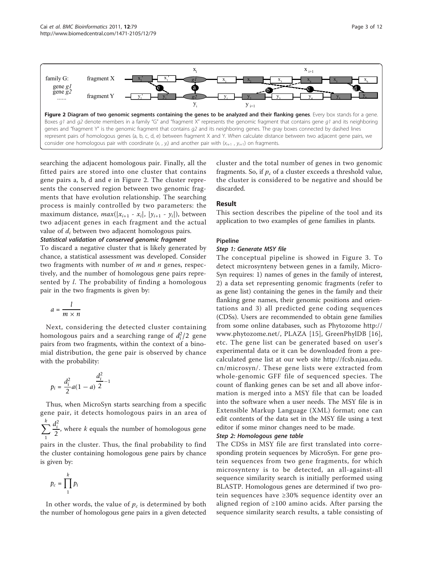<span id="page-3-0"></span>

searching the adjacent homologous pair. Finally, all the fitted pairs are stored into one cluster that contains gene pairs a, b, d and e in Figure 2. The cluster represents the conserved region between two genomic fragments that have evolution relationship. The searching process is mainly controlled by two parameters: the maximum distance,  $max(|x_{i+1} - x_i|, |y_{i+1} - y_i|)$ , between two adjacent genes in each fragment and the actual value of  $d_i$  between two adjacent homologous pairs.

Statistical validation of conserved genomic fragment

To discard a negative cluster that is likely generated by chance, a statistical assessment was developed. Consider two fragments with number of  $m$  and  $n$  genes, respectively, and the number of homologous gene pairs represented by  $l$ . The probability of finding a homologous pair in the two fragments is given by:

$$
a = \frac{l}{m \times n}
$$

Next, considering the detected cluster containing homologous pairs and a searching range of  $d_i^2/2$  gene pairs from two fragments, within the context of a binomial distribution, the gene pair is observed by chance with the probability:

$$
p_i = \frac{d_i^2}{2}a(1-a)\frac{d_i^2}{2} - 1
$$

Thus, when MicroSyn starts searching from a specific gene pair, it detects homologous pairs in an area of *k*

 $\sum$ 1  $\frac{d_i^2}{2}$ , where *k* equals the number of homologous gene

pairs in the cluster. Thus, the final probability to find the cluster containing homologous gene pairs by chance is given by:

$$
p_c = \prod_1^k p_i
$$

In other words, the value of  $p_c$  is determined by both the number of homologous gene pairs in a given detected cluster and the total number of genes in two genomic fragments. So, if  $p_c$  of a cluster exceeds a threshold value, the cluster is considered to be negative and should be discarded.

#### Result

This section describes the pipeline of the tool and its application to two examples of gene families in plants.

#### Pipeline

#### Step 1: Generate MSY file

The conceptual pipeline is showed in Figure [3.](#page-4-0) To detect microsynteny between genes in a family, Micro-Syn requires: 1) names of genes in the family of interest, 2) a data set representing genomic fragments (refer to as gene list) containing the genes in the family and their flanking gene names, their genomic positions and orientations and 3) all predicted gene coding sequences (CDSs). Users are recommended to obtain gene families from some online databases, such as Phytozome [http://](http://www.phytozome.net/) [www.phytozome.net/](http://www.phytozome.net/), PLAZA [[15](#page-12-0)], GreenPhylDB [[16](#page-12-0)], etc. The gene list can be generated based on user's experimental data or it can be downloaded from a precalculated gene list at our web site [http://fcsb.njau.edu.](http://fcsb.njau.edu.cn/microsyn/) [cn/microsyn/](http://fcsb.njau.edu.cn/microsyn/). These gene lists were extracted from whole-genomic GFF file of sequenced species. The count of flanking genes can be set and all above information is merged into a MSY file that can be loaded into the software when a user needs. The MSY file is in Extensible Markup Language (XML) format; one can edit contents of the data set in the MSY file using a text editor if some minor changes need to be made.

#### Step 2: Homologous gene table

The CDSs in MSY file are first translated into corresponding protein sequences by MicroSyn. For gene protein sequences from two gene fragments, for which microsynteny is to be detected, an all-against-all sequence similarity search is initially performed using BLASTP. Homologous genes are determined if two protein sequences have ≥30% sequence identity over an aligned region of ≥100 amino acids. After parsing the sequence similarity search results, a table consisting of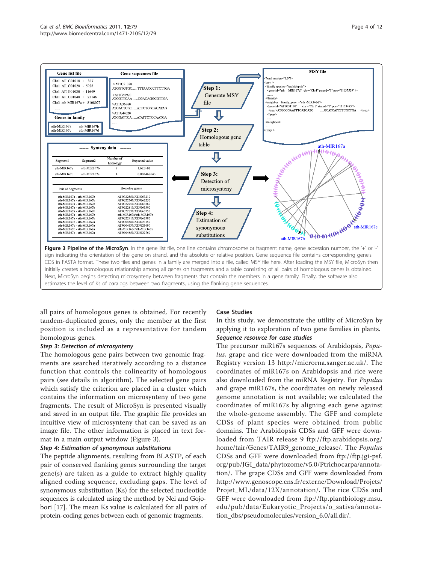<span id="page-4-0"></span>

all pairs of homologous genes is obtained. For recently tandem-duplicated genes, only the member at the first position is included as a representative for tandem homologous genes.

## Step 3: Detection of microsynteny

The homologous gene pairs between two genomic fragments are searched iteratively according to a distance function that controls the colinearity of homologous pairs (see details in algorithm). The selected gene pairs which satisfy the criterion are placed in a cluster which contains the information on microsynteny of two gene fragments. The result of MicroSyn is presented visually and saved in an output file. The graphic file provides an intuitive view of microsynteny that can be saved as an image file. The other information is placed in text format in a main output window (Figure 3).

#### Step 4: Estimation of synonymous substitutions

The peptide alignments, resulting from BLASTP, of each pair of conserved flanking genes surrounding the target gene(s) are taken as a guide to extract highly quality aligned coding sequence, excluding gaps. The level of synonymous substitution (Ks) for the selected nucleotide sequences is calculated using the method by Nei and Gojobori [\[17](#page-12-0)]. The mean Ks value is calculated for all pairs of protein-coding genes between each of genomic fragments.

#### Case Studies

In this study, we demonstrate the utility of MicroSyn by applying it to exploration of two gene families in plants. Sequence resource for case studies

The precursor miR167s sequences of Arabidopsis, Populus, grape and rice were downloaded from the miRNA Registry version 13<http://microrna.sanger.ac.uk/>. The coordinates of miR167s on Arabidopsis and rice were also downloaded from the miRNA Registry. For *Populus* and grape miR167s, the coordinates on newly released genome annotation is not available; we calculated the coordinates of miR167s by aligning each gene against the whole-genome assembly. The GFF and complete CDSs of plant species were obtained from public domains. The Arabidopsis CDSs and GFF were downloaded from TAIR release 9 [ftp://ftp.arabidopsis.org/](ftp://ftp.arabidopsis.org/home/tair/Genes/TAIR9_genome_release/) [home/tair/Genes/TAIR9\\_genome\\_release/](ftp://ftp.arabidopsis.org/home/tair/Genes/TAIR9_genome_release/). The Populus CDSs and GFF were downloaded from [ftp://ftp.jgi-psf.](ftp://ftp.jgi-psf.org/pub/JGI_data/phytozome/v5.0/Ptrichocarpa/annotation/) [org/pub/JGI\\_data/phytozome/v5.0/Ptrichocarpa/annota](ftp://ftp.jgi-psf.org/pub/JGI_data/phytozome/v5.0/Ptrichocarpa/annotation/)[tion/.](ftp://ftp.jgi-psf.org/pub/JGI_data/phytozome/v5.0/Ptrichocarpa/annotation/) The grape CDSs and GFF were downloaded from [http://www.genoscope.cns.fr/externe/Download/Projets/](http://www.genoscope.cns.fr/externe/Download/Projets/Projet_ML/data/12X/annotation/) [Projet\\_ML/data/12X/annotation/](http://www.genoscope.cns.fr/externe/Download/Projets/Projet_ML/data/12X/annotation/). The rice CDSs and GFF were downloaded from [ftp://ftp.plantbiology.msu.](ftp://ftp.plantbiology.msu.edu/pub/data/Eukaryotic_Projects/o_sativa/annotation_dbs/pseudomolecules/version_6.0/all.dir/) [edu/pub/data/Eukaryotic\\_Projects/o\\_sativa/annota](ftp://ftp.plantbiology.msu.edu/pub/data/Eukaryotic_Projects/o_sativa/annotation_dbs/pseudomolecules/version_6.0/all.dir/)[tion\\_dbs/pseudomolecules/version\\_6.0/all.dir/.](ftp://ftp.plantbiology.msu.edu/pub/data/Eukaryotic_Projects/o_sativa/annotation_dbs/pseudomolecules/version_6.0/all.dir/)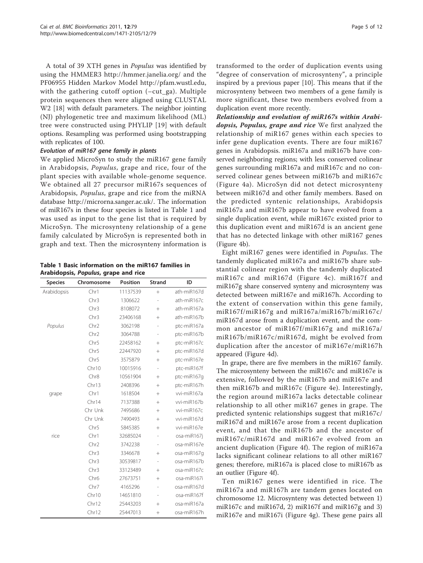A total of 39 XTH genes in Populus was identified by using the HMMER3<http://hmmer.janelia.org/> and the PF06955 Hidden Markov Model<http://pfam.wustl.edu>, with the gathering cutoff option (–cut\_ga). Multiple protein sequences then were aligned using CLUSTAL W2 [\[18](#page-12-0)] with default parameters. The neighbor jointing (NJ) phylogenetic tree and maximum likelihood (ML) tree were constructed using PHYLIP [[19](#page-12-0)] with default options. Resampling was performed using bootstrapping with replicates of 100.

#### Evolution of miR167 gene family in plants

We applied MicroSyn to study the miR167 gene family in Arabidopsis, Populus, grape and rice, four of the plant species with available whole-genome sequence. We obtained all 27 precursor miR167s sequences of Arabidopsis, Populus, grape and rice from the miRNA database<http://microrna.sanger.ac.uk/>. The information of miR167s in these four species is listed in Table 1 and was used as input to the gene list that is required by MicroSyn. The microsynteny relationship of a gene family calculated by MicroSyn is represented both in graph and text. Then the microsynteny information is

Table 1 Basic information on the miR167 families in Arabidopsis, Populus, grape and rice

| <b>Species</b> | Chromosome       | <b>Position</b> | <b>Strand</b>            | ID          |
|----------------|------------------|-----------------|--------------------------|-------------|
| Arabidopsis    | Chr1             | 11137539        | $^{+}$                   | ath-miR167d |
|                | Chr <sub>3</sub> | 1306622         | $\overline{a}$           | ath-miR167c |
|                | Chr <sub>3</sub> | 8108072         | $^{+}$                   | ath-miR167a |
|                | Chr <sub>3</sub> | 23406168        | $^{+}$                   | ath-miR167b |
| Populus        | Chr2             | 3062198         |                          | ptc-miR167a |
|                | Chr <sub>2</sub> | 3064788         |                          | ptc-miR167b |
|                | Chr <sub>5</sub> | 22458162        | $^{+}$                   | ptc-miR167c |
|                | Chr <sub>5</sub> | 22447920        | $^{+}$                   | ptc-miR167d |
|                | Chr <sub>5</sub> | 3575879         | $^{+}$                   | ptc-miR167e |
|                | Chr10            | 10015916        | $\overline{\phantom{0}}$ | ptc-miR167f |
|                | Chr8             | 10561904        | $^{+}$                   | ptc-miR167q |
|                | Chr13            | 2408396         | $^{+}$                   | ptc-miR167h |
| grape          | Chr1             | 1618504         | $^{+}$                   | vvi-miR167a |
|                | Chr14            | 7137388         | $^{+}$                   | vvi-miR167b |
|                | Chr Unk          | 7495686         | $^{+}$                   | vvi-miR167c |
|                | Chr Unk          | 7490493         | $^{+}$                   | vvi-miR167d |
|                | Chr <sub>5</sub> | 5845385         | $^{+}$                   | vvi-miR167e |
| rice           | Chr1             | 32685024        | $\overline{\phantom{0}}$ | osa-miR167j |
|                | Chr <sub>2</sub> | 3742238         | $\overline{\phantom{0}}$ | osa-miR167e |
|                | Chr3             | 3346678         | $^{+}$                   | osa-miR167q |
|                | Chr <sub>3</sub> | 30539817        | $\overline{\phantom{0}}$ | osa-miR167b |
|                | Chr <sub>3</sub> | 33123489        | $^{+}$                   | osa-miR167c |
|                | Chr <sub>6</sub> | 27673751        | $^{+}$                   | osa-miR167i |
|                | Chr7             | 4165296         | $\overline{\phantom{0}}$ | osa-miR167d |
|                | Chr10            | 14651810        | $\overline{a}$           | osa-miR167f |
|                | Chr12            | 25443203        | $^{+}$                   | osa-miR167a |
|                | Chr12            | 25447013        | $^{+}$                   | osa-miR167h |

transformed to the order of duplication events using "degree of conservation of microsynteny", a principle inspired by a previous paper [\[10](#page-12-0)]. This means that if the microsynteny between two members of a gene family is more significant, these two members evolved from a duplication event more recently.

Relationship and evolution of miR167s within Arabidopsis, Populus, grape and rice We first analyzed the relationship of miR167 genes within each species to infer gene duplication events. There are four miR167 genes in Arabidopsis. miR167a and miR167b have conserved neighboring regions; with less conserved colinear genes surrounding miR167a and miR167c and no conserved colinear genes between miR167b and miR167c (Figure [4a](#page-6-0)). MicroSyn did not detect microsynteny between miR167d and other family members. Based on the predicted syntenic relationships, Arabidopsis miR167a and miR167b appear to have evolved from a single duplication event, while miR167c existed prior to this duplication event and miR167d is an ancient gene that has no detected linkage with other miR167 genes (Figure [4b\)](#page-6-0).

Eight miR167 genes were identified in Populus. The tandemly duplicated miR167a and miR167b share substantial colinear region with the tandemly duplicated miR167c and miR167d (Figure [4c\)](#page-6-0). miR167f and miR167g share conserved synteny and microsynteny was detected between miR167e and miR167h. According to the extent of conservation within this gene family, miR167f/miR167g and miR167a/miR167b/miR167c/ miR167d arose from a duplication event, and the common ancestor of miR167f/miR167g and miR167a/ miR167b/miR167c/miR167d, might be evolved from duplication after the ancestor of miR167e/miR167h appeared (Figure [4d\)](#page-6-0).

In grape, there are five members in the miR167 family. The microsynteny between the miR167c and miR167e is extensive, followed by the miR167b and miR167e and then miR167b and miR167c (Figure [4e](#page-6-0)). Interestingly, the region around miR167a lacks detectable colinear relationship to all other miR167 genes in grape. The predicted syntenic relationships suggest that miR167c/ miR167d and miR167e arose from a recent duplication event, and that the miR167b and the ancestor of miR167c/miR167d and miR167e evolved from an ancient duplication (Figure [4f\)](#page-6-0). The region of miR167a lacks significant colinear relations to all other miR167 genes; therefore, miR167a is placed close to miR167b as an outlier (Figure [4f](#page-6-0)).

Ten miR167 genes were identified in rice. The miR167a and miR167h are tandem genes located on chromosome 12. Microsynteny was detected between 1) miR167c and miR167d, 2) miR167f and miR167g and 3) miR167e and miR167i (Figure [4g\)](#page-6-0). These gene pairs all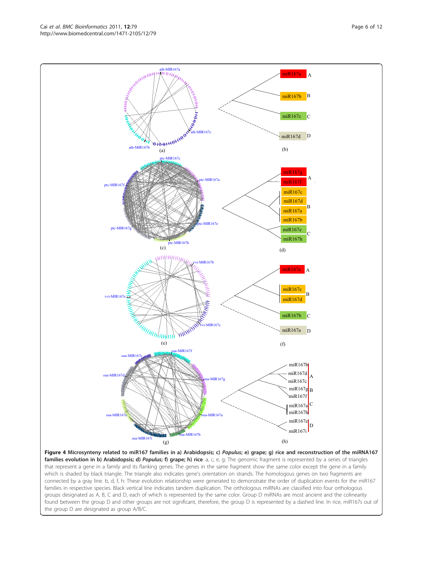<span id="page-6-0"></span>Cai et al. BMC Bioinformatics 2011, 12:79 http://www.biomedcentral.com/1471-2105/12/79



groups designated as A, B, C and D, each of which is represented by the same color. Group D miRNAs are most ancient and the colinearity found between the group D and other groups are not significant, therefore, the group D is represented by a dashed line. In rice, miR167s out of the group D are designated as group A/B/C.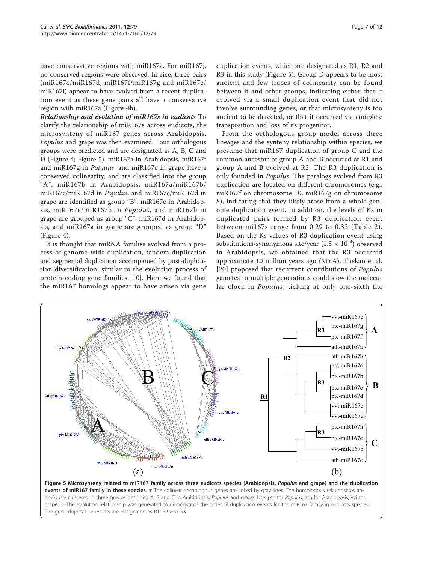<span id="page-7-0"></span>have conservative regions with miR167a. For miR167j, no conserved regions were observed. In rice, three pairs (miR167c/miR167d, miR167f/miR167g and miR167e/ miR167i) appear to have evolved from a recent duplication event as these gene pairs all have a conservative region with miR167a (Figure [4h\)](#page-6-0).

Relationship and evolution of miR167s in eudicots To clarify the relationship of miR167s across eudicots, the microsynteny of miR167 genes across Arabidopsis, Populus and grape was then examined. Four orthologous groups were predicted and are designated as A, B, C and D (Figure [4](#page-6-0); Figure 5). miR167a in Arabidopsis, miR167f and miR167g in Populus, and miR167e in grape have a conserved colinearity, and are classified into the group "A". miR167b in Arabidopsis, miR167a/miR167b/ miR167c/miR167d in Populus, and miR167c/miR167d in grape are identified as group "B". miR167c in Arabidopsis, miR167e/miR167h in Populus, and miR167b in grape are grouped as group "C". miR167d in Arabidopsis, and miR167a in grape are grouped as group "D" (Figure [4\)](#page-6-0).

It is thought that miRNA families evolved from a process of genome-wide duplication, tandem duplication and segmental duplication accompanied by post-duplication diversification, similar to the evolution process of protein-coding gene families [[10\]](#page-12-0). Here we found that the miR167 homologs appear to have arisen via gene

duplication events, which are designated as R1, R2 and R3 in this study (Figure 5). Group D appears to be most ancient and few traces of colinearity can be found between it and other groups, indicating either that it evolved via a small duplication event that did not involve surrounding genes, or that microsynteny is too ancient to be detected, or that it occurred via complete transposition and loss of its progenitor.

From the orthologous group model across three lineages and the synteny relationship within species, we presume that miR167 duplication of group C and the common ancestor of group A and B occurred at R1 and group A and B evolved at R2. The R3 duplication is only founded in Populus. The paralogs evolved from R3 duplication are located on different chromosomes (e.g., miR167f on chromosome 10, miR167g on chromosome 8), indicating that they likely arose from a whole-genome duplication event. In addition, the levels of Ks in duplicated pairs formed by R3 duplication event between mi167s range from 0.29 to 0.33 (Table [2\)](#page-8-0). Based on the Ks values of R3 duplication event using substitutions/synonymous site/year  $(1.5 \times 10^{-8})$  observed in Arabidopsis, we obtained that the R3 occurred approximate 10 million years ago (MYA). Tuskan et al. [[20](#page-12-0)] proposed that recurrent contributions of *Populus* gametes to multiple generations could slow the molecular clock in Populus, ticking at only one-sixth the



events of miR167 family in these species. a: The colinear homologous genes are linked by gray lines. The homologous relationships are obviously clustered in three groups designed A, B and C in Arabidopsis, Populus and grape. Use: ptc for Populus, ath for Arabidopsis, vvi for grape. b: The evolution relationship was generated to demonstrate the order of duplication events for the miR167 family in eudicots species. The gene duplication events are designated as R1, R2 and R3.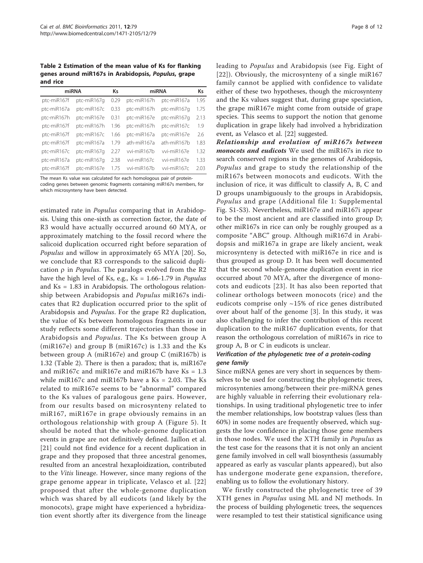<span id="page-8-0"></span>Table 2 Estimation of the mean value of Ks for flanking genes around miR167s in Arabidopsis, Populus, grape and rice

| miRNA       |             | Κs   | miRNA       |             | Κs   |
|-------------|-------------|------|-------------|-------------|------|
| ptc-miR167f | ptc-miR167q | 0.29 | ptc-miR167h | ptc-miR167a | 1.95 |
| ptc-miR167a | ptc-miR167c | 0.33 | ptc-miR167h | ptc-miR167q | 1.75 |
| ptc-miR167h | ptc-miR167e | 0.31 | ptc-miR167e | ptc-miR167q | 2.13 |
| ptc-miR167f | ptc-miR167h | 1.96 | ptc-miR167h | ptc-miR167c | 1.9  |
| ptc-miR167f | ptc-miR167c | 1.66 | ptc-miR167a | ptc-miR167e | 2.6  |
| ptc-miR167f | ptc-miR167a | 1.79 | ath-miR167a | ath-miR167h | 1.83 |
| ptc-miR167c | ptc-miR167q | 2.27 | wi-miR167b  | wi-miR167e  | 1.32 |
| ptc-miR167a | ptc-miR167q | 2.38 | vvi-miR167c | vvi-miR167e | 1.33 |
| ptc-miR167f | ptc-miR167e | 1.75 | wi-miR167b  | wi-miR167c  | 2.03 |

The mean Ks value was calculated for each homologous pair of proteincoding genes between genomic fragments containing miR167s members, for which microsynteny have been detected.

estimated rate in Populus comparing that in Arabidopsis. Using this one-sixth as correction factor, the date of R3 would have actually occurred around 60 MYA, or approximately matching to the fossil record where the salicoid duplication occurred right before separation of Populus and willow in approximately 65 MYA [[20](#page-12-0)]. So, we conclude that R3 corresponds to the salicoid duplication  $\rho$  in *Populus*. The paralogs evolved from the R2 have the high level of Ks, e.g., Ks = 1.66-1.79 in Populus and Ks = 1.83 in Arabidopsis. The orthologous relationship between Arabidopsis and Populus miR167s indicates that R2 duplication occurred prior to the split of Arabidopsis and Populus. For the grape R2 duplication, the value of Ks between homologous fragments in our study reflects some different trajectories than those in Arabidopsis and Populus. The Ks between group A (miR167e) and group B (miR167c) is 1.33 and the Ks between group A (miR167e) and group C (miR167b) is 1.32 (Table 2). There is then a paradox; that is, miR167e and miR167c and miR167e and miR167b have  $Ks = 1.3$ while miR167c and miR167b have a  $Ks = 2.03$ . The Ks related to miR167e seems to be "abnormal" compared to the Ks values of paralogous gene pairs. However, from our results based on microsynteny related to miR167, miR167e in grape obviously remains in an orthologous relationship with group A (Figure [5\)](#page-7-0). It should be noted that the whole-genome duplication events in grape are not definitively defined. Jaillon et al. [[21\]](#page-12-0) could not find evidence for a recent duplication in grape and they proposed that three ancestral genomes, resulted from an ancestral hexaploidization, contributed to the Vitis lineage. However, since many regions of the grape genome appear in triplicate, Velasco et al. [[22](#page-12-0)] proposed that after the whole-genome duplication which was shared by all eudicots (and likely by the monocots), grape might have experienced a hybridization event shortly after its divergence from the lineage

leading to Populus and Arabidopsis (see Fig. Eight of [[22](#page-12-0)]). Obviously, the microsynteny of a single miR167 family cannot be applied with confidence to validate either of these two hypotheses, though the microsynteny and the Ks values suggest that, during grape speciation, the grape miR167e might come from outside of grape species. This seems to support the notion that genome duplication in grape likely had involved a hybridization event, as Velasco et al. [[22\]](#page-12-0) suggested.

Relationship and evolution of miR167s between monocots and eudicots We used the miR167s in rice to search conserved regions in the genomes of Arabidopsis, Populus and grape to study the relationship of the miR167s between monocots and eudicots. With the inclusion of rice, it was difficult to classify A, B, C and D groups unambiguously to the groups in Arabidopsis, Populus and grape (Additional file [1](#page-11-0): Supplemental Fig. S1-S3). Nevertheless, miR167e and miR167i appear to be the most ancient and are classified into group D; other miR167s in rice can only be roughly grouped as a composite "ABC" group. Although miR167d in Arabidopsis and miR167a in grape are likely ancient, weak microsynteny is detected with miR167e in rice and is thus grouped as group D. It has been well documented that the second whole-genome duplication event in rice occurred about 70 MYA, after the divergence of monocots and eudicots [\[23\]](#page-12-0). It has also been reported that colinear orthologs between monocots (rice) and the eudicots comprise only ~15% of rice genes distributed over about half of the genome [[3\]](#page-12-0). In this study, it was also challenging to infer the contribution of this recent duplication to the miR167 duplication events, for that reason the orthologous correlation of miR167s in rice to group A, B or C in eudicots is unclear.

## Verification of the phylogenetic tree of a protein-coding gene family

Since miRNA genes are very short in sequences by themselves to be used for constructing the phylogenetic trees, microsyntenies among/between their pre-miRNA genes are highly valuable in referring their evolutionary relationships. In using traditional phylogenetic tree to infer the member relationships, low bootstrap values (less than 60%) in some nodes are frequently observed, which suggests the low confidence in placing those gene members in those nodes. We used the XTH family in Populus as the test case for the reasons that it is not only an ancient gene family involved in cell wall biosynthesis (assumably appeared as early as vascular plants appeared), but also has undergone moderate gene expansion, therefore, enabling us to follow the evolutionary history.

We firstly constructed the phylogenetic tree of 39 XTH genes in *Populus* using ML and NJ methods. In the process of building phylogenetic trees, the sequences were resampled to test their statistical significance using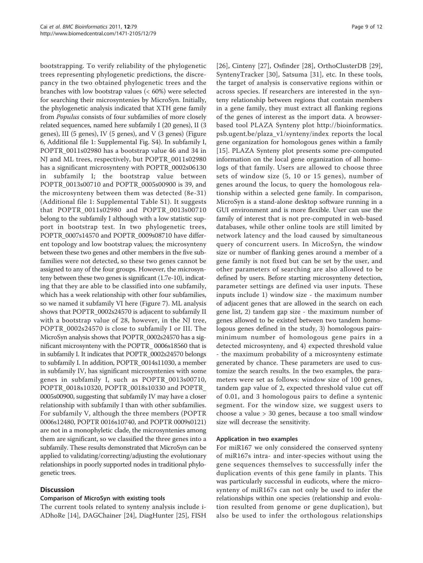bootstrapping. To verify reliability of the phylogenetic trees representing phylogenetic predictions, the discrepancy in the two obtained phylogenetic trees and the branches with low bootstrap values (< 60%) were selected for searching their microsyntenies by MicroSyn. Initially, the phylogenetic analysis indicated that XTH gene family from Populus consists of four subfamilies of more closely related sequences, named here subfamily I (20 genes), II (3 genes), III (5 genes), IV (5 genes), and V (3 genes) (Figure [6,](#page-10-0) Additional file [1:](#page-11-0) Supplemental Fig. S4). In subfamily I, POPTR\_0011s02980 has a bootstrap value 46 and 34 in NJ and ML trees, respectively, but POPTR\_0011s02980 has a significant microsynteny with POPTR\_0002s06130 in subfamily I; the bootstrap value between POPTR\_0013s00710 and POPTR\_0005s00900 is 39, and the microsynteny between them was detected (8e-31) (Additional file [1:](#page-11-0) Supplemental Table S1). It suggests that POPTR\_0011s02980 and POPTR\_0013s00710 belong to the subfamily I although with a low statistic support in bootstrap test. In two phylogenetic trees, POPTR\_0007s14570 and POPTR\_0009s08710 have different topology and low bootstrap values; the microsynteny between these two genes and other members in the five subfamilies were not detected, so these two genes cannot be assigned to any of the four groups. However, the microsynteny between these two genes is significant (1.7e-10), indicating that they are able to be classified into one subfamily, which has a week relationship with other four subfamilies, so we named it subfamily VI here (Figure [7\)](#page-11-0). ML analysis shows that POPTR\_0002s24570 is adjacent to subfamily II with a bootstrap value of 28, however, in the NJ tree, POPTR\_0002s24570 is close to subfamily I or III. The MicroSyn analysis shows that POPTR\_0002s24570 has a significant microsynteny with the POPTR\_ 0006s18560 that is in subfamily I. It indicates that POPTR\_0002s24570 belongs to subfamily I. In addition, POPTR\_0014s11030, a member in subfamily IV, has significant microsyntenies with some genes in subfamily I, such as POPTR\_0013s00710, POPTR\_0018s10320, POPTR\_0018s10330 and POPTR\_ 0005s00900, suggesting that subfamily IV may have a closer relationship with subfamily I than with other subfamilies. For subfamily V, although the three members (POPTR 0006s12480, POPTR 0016s10740, and POPTR 0009s0121) are not in a monophyletic clade, the microsyntenies among them are significant, so we classified the three genes into a subfamily. These results demonstrated that MicroSyn can be applied to validating/correcting/adjusting the evolutionary relationships in poorly supported nodes in traditional phylogenetic trees.

## **Discussion**

## Comparison of MicroSyn with existing tools

The current tools related to synteny analysis include i-ADhoRe [\[14](#page-12-0)], DAGChainer [\[24](#page-12-0)], DiagHunter [[25\]](#page-12-0), FISH

[[26](#page-12-0)], Cinteny [\[27](#page-12-0)], Osfinder [[28\]](#page-12-0), OrthoClusterDB [\[29](#page-12-0)], SyntenyTracker [\[30\]](#page-12-0), Satsuma [[31](#page-12-0)], etc. In these tools, the target of analysis is conservative regions within or across species. If researchers are interested in the synteny relationship between regions that contain members in a gene family, they must extract all flanking regions of the genes of interest as the import data. A browserbased tool PLAZA Synteny plot [http://bioinformatics.](http://bioinformatics.psb.ugent.be/plaza_v1/synteny/index) [psb.ugent.be/plaza\\_v1/synteny/index](http://bioinformatics.psb.ugent.be/plaza_v1/synteny/index) reports the local gene organization for homologous genes within a family [[15\]](#page-12-0). PLAZA Synteny plot presents some pre-computed information on the local gene organization of all homologs of that family. Users are allowed to choose three sets of window size (5, 10 or 15 genes), number of genes around the locus, to query the homologous relationship within a selected gene family. In comparison, MicroSyn is a stand-alone desktop software running in a GUI environment and is more flexible. User can use the family of interest that is not pre-computed in web-based databases, while other online tools are still limited by network latency and the load caused by simultaneous query of concurrent users. In MicroSyn, the window size or number of flanking genes around a member of a gene family is not fixed but can be set by the user, and other parameters of searching are also allowed to be defined by users. Before starting microsynteny detection, parameter settings are defined via user inputs. These inputs include 1) window size - the maximum number of adjacent genes that are allowed in the search on each gene list, 2) tandem gap size - the maximum number of genes allowed to be existed between two tandem homologous genes defined in the study, 3) homologous pairsminimum number of homologous gene pairs in a detected microsynteny, and 4) expected threshold value - the maximum probability of a microsynteny estimate generated by chance. These parameters are used to customize the search results. In the two examples, the parameters were set as follows: window size of 100 genes, tandem gap value of 2, expected threshold value cut off of 0.01, and 3 homologous pairs to define a syntenic segment. For the window size, we suggest users to choose a value > 30 genes, because a too small window size will decrease the sensitivity.

#### Application in two examples

For miR167 we only considered the conserved synteny of miR167s intra- and inter-species without using the gene sequences themselves to successfully infer the duplication events of this gene family in plants. This was particularly successful in eudicots, where the microsynteny of miR167s can not only be used to infer the relationships within one species (relationship and evolution resulted from genome or gene duplication), but also be used to infer the orthologous relationships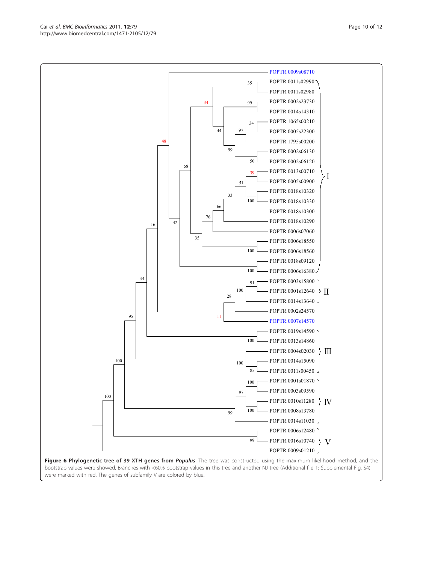Figure 6 Phylogenetic tree of 39 XTH genes from Populus. The tree was constructed using the maximum likelihood method, and the bootstrap values were showed. Branches with <60% bootstrap values in this tree and another NJ tree (Additional file [1:](#page-11-0) Supplemental Fig. S4) were marked with red. The genes of subfamily V are colored by blue.

<span id="page-10-0"></span>

POPTR 0009s08710 POPTR 0011s02990 POPTR 0011s02980 POPTR 0002s23730 POPTR 0014s14310 POPTR 1065s00210 POPTR 0005s22300 POPTR 1795s00200 POPTR 0002s06130 POPTR 0002s06120 POPTR 0013s00710

35

99

 $\overline{34}$  $Q<sub>7</sub>$ 

50

99

 $44\,$ 

 $34$ 

58

48

POPTR 0009s01210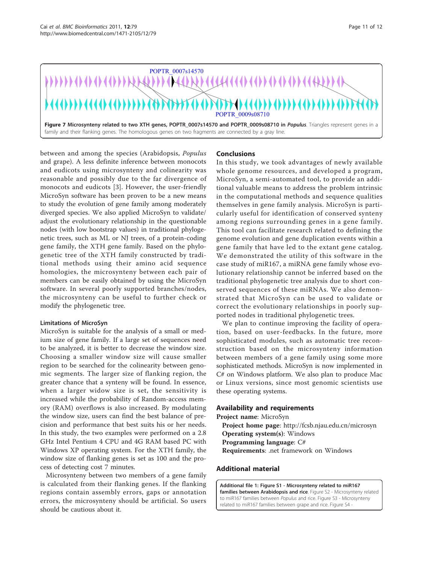# <span id="page-11-0"></span>POPTR\_0007s14570 POPTR\_0009s08710 Figure 7 Microsynteny related to two XTH genes, POPTR\_0007s14570 and POPTR\_0009s08710 in Populus. Triangles represent genes in a

family and their flanking genes. The homologous genes on two fragments are connected by a gray line.

between and among the species (Arabidopsis, Populus and grape). A less definite inference between monocots and eudicots using microsynteny and colinearity was reasonable and possibly due to the far divergence of monocots and eudicots [[3\]](#page-12-0). However, the user-friendly MicroSyn software has been proven to be a new means to study the evolution of gene family among moderately diverged species. We also applied MicroSyn to validate/ adjust the evolutionary relationship in the questionable nodes (with low bootstrap values) in traditional phylogenetic trees, such as ML or NJ trees, of a protein-coding gene family, the XTH gene family. Based on the phylogenetic tree of the XTH family constructed by traditional methods using their amino acid sequence homologies, the microsynteny between each pair of members can be easily obtained by using the MicroSyn software. In several poorly supported branches/nodes, the microsynteny can be useful to further check or modify the phylogenetic tree.

#### Limitations of MicroSyn

MicroSyn is suitable for the analysis of a small or medium size of gene family. If a large set of sequences need to be analyzed, it is better to decrease the window size. Choosing a smaller window size will cause smaller region to be searched for the colinearity between genomic segments. The larger size of flanking region, the greater chance that a synteny will be found. In essence, when a larger widow size is set, the sensitivity is increased while the probability of Random-access memory (RAM) overflows is also increased. By modulating the window size, users can find the best balance of precision and performance that best suits his or her needs. In this study, the two examples were performed on a 2.8 GHz Intel Pentium 4 CPU and 4G RAM based PC with Windows XP operating system. For the XTH family, the window size of flanking genes is set as 100 and the process of detecting cost 7 minutes.

Microsynteny between two members of a gene family is calculated from their flanking genes. If the flanking regions contain assembly errors, gaps or annotation errors, the microsynteny should be artificial. So users should be cautious about it.

#### Conclusions

In this study, we took advantages of newly available whole genome resources, and developed a program, MicroSyn, a semi-automated tool, to provide an additional valuable means to address the problem intrinsic in the computational methods and sequence qualities themselves in gene family analysis. MicroSyn is particularly useful for identification of conserved synteny among regions surrounding genes in a gene family. This tool can facilitate research related to defining the genome evolution and gene duplication events within a gene family that have led to the extant gene catalog. We demonstrated the utility of this software in the case study of miR167, a miRNA gene family whose evolutionary relationship cannot be inferred based on the traditional phylogenetic tree analysis due to short conserved sequences of these miRNAs. We also demonstrated that MicroSyn can be used to validate or correct the evolutionary relationships in poorly supported nodes in traditional phylogenetic trees.

We plan to continue improving the facility of operation, based on user-feedbacks. In the future, more sophisticated modules, such as automatic tree reconstruction based on the microsynteny information between members of a gene family using some more sophisticated methods. MicroSyn is now implemented in C# on Windows platform. We also plan to produce Mac or Linux versions, since most genomic scientists use these operating systems.

#### Availability and requirements

Project name: MicroSyn Project home page:<http://fcsb.njau.edu.cn/microsyn> Operating system(s): Windows Programming language: C# Requirements: .net framework on Windows

#### Additional material

[Additional file 1: F](http://www.biomedcentral.com/content/supplementary/1471-2105-12-79-S1.PDF)igure S1 - Microsynteny related to miR167 families between Arabidopsis and rice. Figure S2 - Microsynteny related to miR167 families between Populus and rice. Figure S3 - Microsynteny related to miR167 families between grape and rice. Figure S4 -